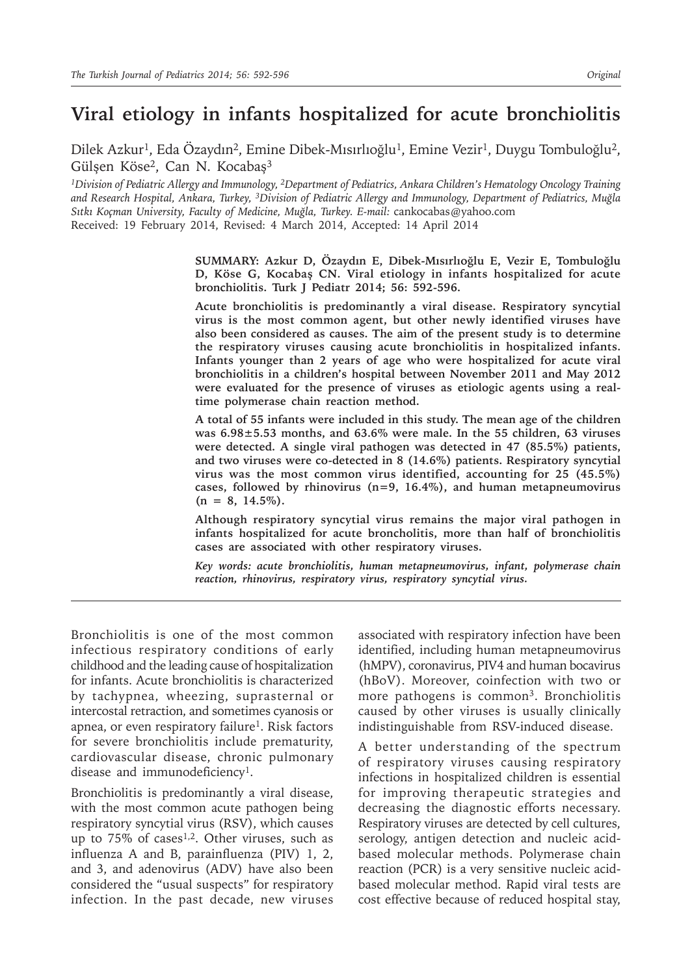# **Viral etiology in infants hospitalized for acute bronchiolitis**

Dilek Azkur<sup>1</sup>, Eda Özaydın<sup>2</sup>, Emine Dibek-Mısırlıoğlu<sup>1</sup>, Emine Vezir<sup>1</sup>, Duygu Tombuloğlu<sup>2</sup>, Gülşen Köse2, Can N. Kocabaş<sup>3</sup>

*1Division of Pediatric Allergy and Immunology, 2Department of Pediatrics, Ankara Children's Hematology Oncology Training and Research Hospital, Ankara, Turkey, 3Division of Pediatric Allergy and Immunology, Department of Pediatrics, Muğla Sıtkı Koçman University, Faculty of Medicine, Muğla, Turkey. E-mail:* cankocabas@yahoo.com Received: 19 February 2014, Revised: 4 March 2014, Accepted: 14 April 2014

> **SUMMARY: Azkur D, Özaydın E, Dibek-Mısırlıoğlu E, Vezir E, Tombuloğlu D, Köse G, Kocabaş CN. Viral etiology in infants hospitalized for acute bronchiolitis. Turk J Pediatr 2014; 56: 592-596.**

> **Acute bronchiolitis is predominantly a viral disease. Respiratory syncytial virus is the most common agent, but other newly identified viruses have also been considered as causes. The aim of the present study is to determine the respiratory viruses causing acute bronchiolitis in hospitalized infants. Infants younger than 2 years of age who were hospitalized for acute viral bronchiolitis in a children's hospital between November 2011 and May 2012 were evaluated for the presence of viruses as etiologic agents using a realtime polymerase chain reaction method.**

> **A total of 55 infants were included in this study. The mean age of the children was 6.98±5.53 months, and 63.6% were male. In the 55 children, 63 viruses were detected. A single viral pathogen was detected in 47 (85.5%) patients, and two viruses were co-detected in 8 (14.6%) patients. Respiratory syncytial virus was the most common virus identified, accounting for 25 (45.5%) cases, followed by rhinovirus (n=9, 16.4%), and human metapneumovirus (n = 8, 14.5%).**

> **Although respiratory syncytial virus remains the major viral pathogen in infants hospitalized for acute broncholitis, more than half of bronchiolitis cases are associated with other respiratory viruses.**

> *Key words: acute bronchiolitis, human metapneumovirus, infant, polymerase chain reaction, rhinovirus, respiratory virus, respiratory syncytial virus.*

Bronchiolitis is one of the most common infectious respiratory conditions of early childhood and the leading cause of hospitalization for infants. Acute bronchiolitis is characterized by tachypnea, wheezing, suprasternal or intercostal retraction, and sometimes cyanosis or apnea, or even respiratory failure<sup>1</sup>. Risk factors for severe bronchiolitis include prematurity, cardiovascular disease, chronic pulmonary disease and immunodeficiency<sup>1</sup>.

Bronchiolitis is predominantly a viral disease, with the most common acute pathogen being respiratory syncytial virus (RSV), which causes up to 75% of cases<sup>1,2</sup>. Other viruses, such as influenza A and B, parainfluenza (PIV) 1, 2, and 3, and adenovirus (ADV) have also been considered the "usual suspects" for respiratory infection. In the past decade, new viruses

associated with respiratory infection have been identified, including human metapneumovirus (hMPV), coronavirus, PIV4 and human bocavirus (hBoV). Moreover, coinfection with two or more pathogens is common<sup>3</sup>. Bronchiolitis caused by other viruses is usually clinically indistinguishable from RSV-induced disease.

A better understanding of the spectrum of respiratory viruses causing respiratory infections in hospitalized children is essential for improving therapeutic strategies and decreasing the diagnostic efforts necessary. Respiratory viruses are detected by cell cultures, serology, antigen detection and nucleic acidbased molecular methods. Polymerase chain reaction (PCR) is a very sensitive nucleic acidbased molecular method. Rapid viral tests are cost effective because of reduced hospital stay,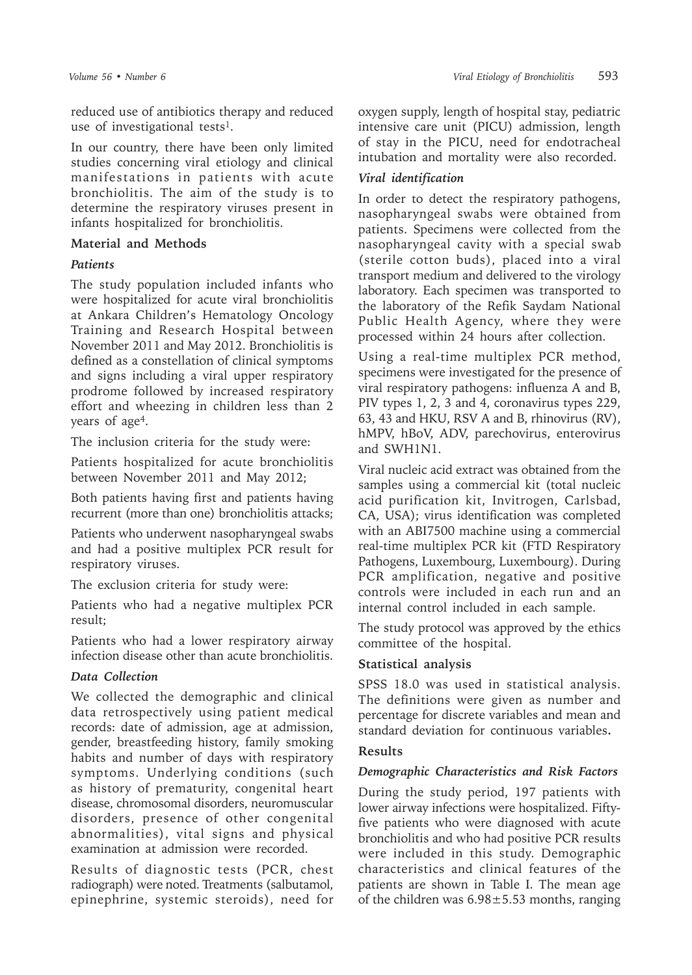reduced use of antibiotics therapy and reduced use of investigational tests<sup>1</sup>.

In our country, there have been only limited studies concerning viral etiology and clinical manifestations in patients with acute bronchiolitis. The aim of the study is to determine the respiratory viruses present in infants hospitalized for bronchiolitis.

#### **Material and Methods**

#### *Patients*

The study population included infants who were hospitalized for acute viral bronchiolitis at Ankara Children's Hematology Oncology Training and Research Hospital between November 2011 and May 2012. Bronchiolitis is defined as a constellation of clinical symptoms and signs including a viral upper respiratory prodrome followed by increased respiratory effort and wheezing in children less than 2 years of age4.

The inclusion criteria for the study were:

Patients hospitalized for acute bronchiolitis between November 2011 and May 2012;

Both patients having first and patients having recurrent (more than one) bronchiolitis attacks;

Patients who underwent nasopharyngeal swabs and had a positive multiplex PCR result for respiratory viruses.

The exclusion criteria for study were:

Patients who had a negative multiplex PCR result;

Patients who had a lower respiratory airway infection disease other than acute bronchiolitis.

## *Data Collection*

We collected the demographic and clinical data retrospectively using patient medical records: date of admission, age at admission, gender, breastfeeding history, family smoking habits and number of days with respiratory symptoms. Underlying conditions (such as history of prematurity, congenital heart disease, chromosomal disorders, neuromuscular disorders, presence of other congenital abnormalities), vital signs and physical examination at admission were recorded.

Results of diagnostic tests (PCR, chest radiograph) were noted. Treatments (salbutamol, epinephrine, systemic steroids), need for oxygen supply, length of hospital stay, pediatric intensive care unit (PICU) admission, length of stay in the PICU, need for endotracheal intubation and mortality were also recorded.

### *Viral identification*

In order to detect the respiratory pathogens, nasopharyngeal swabs were obtained from patients. Specimens were collected from the nasopharyngeal cavity with a special swab (sterile cotton buds), placed into a viral transport medium and delivered to the virology laboratory. Each specimen was transported to the laboratory of the Refik Saydam National Public Health Agency, where they were processed within 24 hours after collection.

Using a real-time multiplex PCR method, specimens were investigated for the presence of viral respiratory pathogens: influenza A and B, PIV types 1, 2, 3 and 4, coronavirus types 229, 63, 43 and HKU, RSV A and B, rhinovirus (RV), hMPV, hBoV, ADV, parechovirus, enterovirus and SWH1N1.

Viral nucleic acid extract was obtained from the samples using a commercial kit (total nucleic acid purification kit, Invitrogen, Carlsbad, CA, USA); virus identification was completed with an ABI7500 machine using a commercial real-time multiplex PCR kit (FTD Respiratory Pathogens, Luxembourg, Luxembourg). During PCR amplification, negative and positive controls were included in each run and an internal control included in each sample.

The study protocol was approved by the ethics committee of the hospital.

#### **Statistical analysis**

SPSS 18.0 was used in statistical analysis. The definitions were given as number and percentage for discrete variables and mean and standard deviation for continuous variables**.** 

#### **Results**

#### *Demographic Characteristics and Risk Factors*

During the study period, 197 patients with lower airway infections were hospitalized. Fiftyfive patients who were diagnosed with acute bronchiolitis and who had positive PCR results were included in this study. Demographic characteristics and clinical features of the patients are shown in Table I. The mean age of the children was  $6.98 \pm 5.53$  months, ranging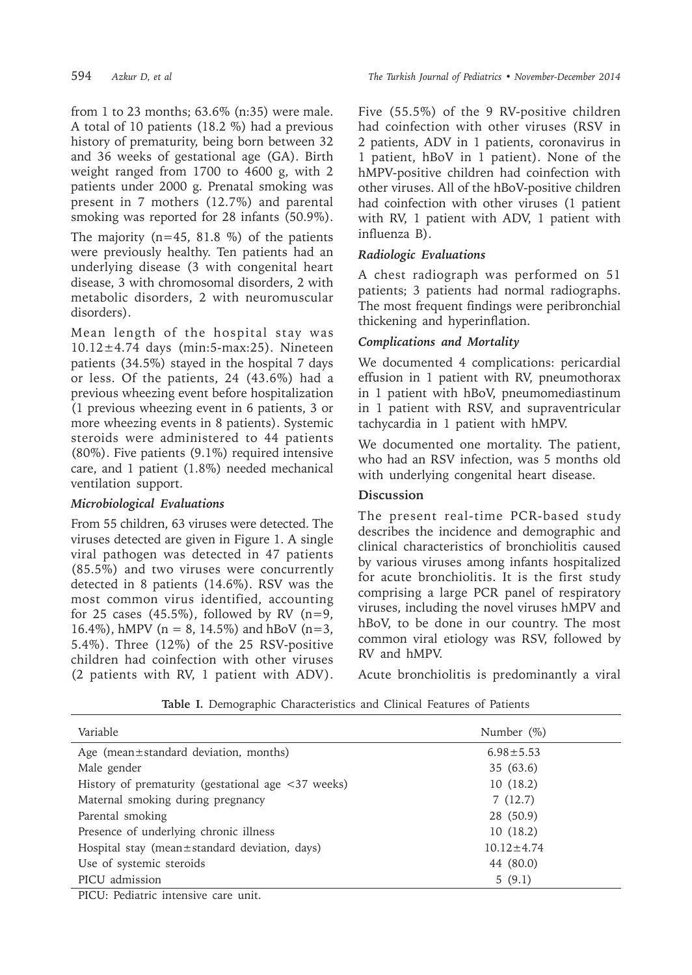from 1 to 23 months; 63.6% (n:35) were male. A total of 10 patients (18.2 %) had a previous history of prematurity, being born between 32 and 36 weeks of gestational age (GA). Birth weight ranged from 1700 to 4600 g, with 2 patients under 2000 g. Prenatal smoking was present in 7 mothers (12.7%) and parental smoking was reported for 28 infants (50.9%).

The majority  $(n=45, 81.8 \%)$  of the patients were previously healthy. Ten patients had an underlying disease (3 with congenital heart disease, 3 with chromosomal disorders, 2 with metabolic disorders, 2 with neuromuscular disorders).

Mean length of the hospital stay was 10.12±4.74 days (min:5-max:25). Nineteen patients (34.5%) stayed in the hospital 7 days or less. Of the patients, 24 (43.6%) had a previous wheezing event before hospitalization (1 previous wheezing event in 6 patients, 3 or more wheezing events in 8 patients). Systemic steroids were administered to 44 patients (80%). Five patients (9.1%) required intensive care, and 1 patient (1.8%) needed mechanical ventilation support.

## *Microbiological Evaluations*

From 55 children, 63 viruses were detected. The viruses detected are given in Figure 1. A single viral pathogen was detected in 47 patients (85.5%) and two viruses were concurrently detected in 8 patients (14.6%). RSV was the most common virus identified, accounting for 25 cases  $(45.5\%)$ , followed by RV  $(n=9, 1)$ 16.4%), hMPV ( $n = 8$ , 14.5%) and hBoV ( $n=3$ , 5.4%). Three (12%) of the 25 RSV-positive children had coinfection with other viruses (2 patients with RV, 1 patient with ADV).

Five (55.5%) of the 9 RV-positive children had coinfection with other viruses (RSV in 2 patients, ADV in 1 patients, coronavirus in 1 patient, hBoV in 1 patient). None of the hMPV-positive children had coinfection with other viruses. All of the hBoV-positive children had coinfection with other viruses (1 patient with RV, 1 patient with ADV, 1 patient with influenza B).

## *Radiologic Evaluations*

A chest radiograph was performed on 51 patients; 3 patients had normal radiographs. The most frequent findings were peribronchial thickening and hyperinflation.

## *Complications and Mortality*

We documented 4 complications: pericardial effusion in 1 patient with RV, pneumothorax in 1 patient with hBoV, pneumomediastinum in 1 patient with RSV, and supraventricular tachycardia in 1 patient with hMPV.

We documented one mortality. The patient, who had an RSV infection, was 5 months old with underlying congenital heart disease.

## **Discussion**

The present real-time PCR-based study describes the incidence and demographic and clinical characteristics of bronchiolitis caused by various viruses among infants hospitalized for acute bronchiolitis. It is the first study comprising a large PCR panel of respiratory viruses, including the novel viruses hMPV and hBoV, to be done in our country. The most common viral etiology was RSV, followed by RV and hMPV.

Acute bronchiolitis is predominantly a viral

| Variable                                           | Number $(\%)$    |
|----------------------------------------------------|------------------|
| Age (mean $\pm$ standard deviation, months)        | $6.98 \pm 5.53$  |
| Male gender                                        | 35 (63.6)        |
| History of prematurity (gestational age <37 weeks) | 10(18.2)         |
| Maternal smoking during pregnancy                  | 7(12.7)          |
| Parental smoking                                   | 28 (50.9)        |
| Presence of underlying chronic illness             | 10(18.2)         |
| Hospital stay (mean±standard deviation, days)      | $10.12 \pm 4.74$ |
| Use of systemic steroids                           | 44 (80.0)        |
| PICU admission                                     | 5(9.1)           |

**Table I.** Demographic Characteristics and Clinical Features of Patients

PICU: Pediatric intensive care unit.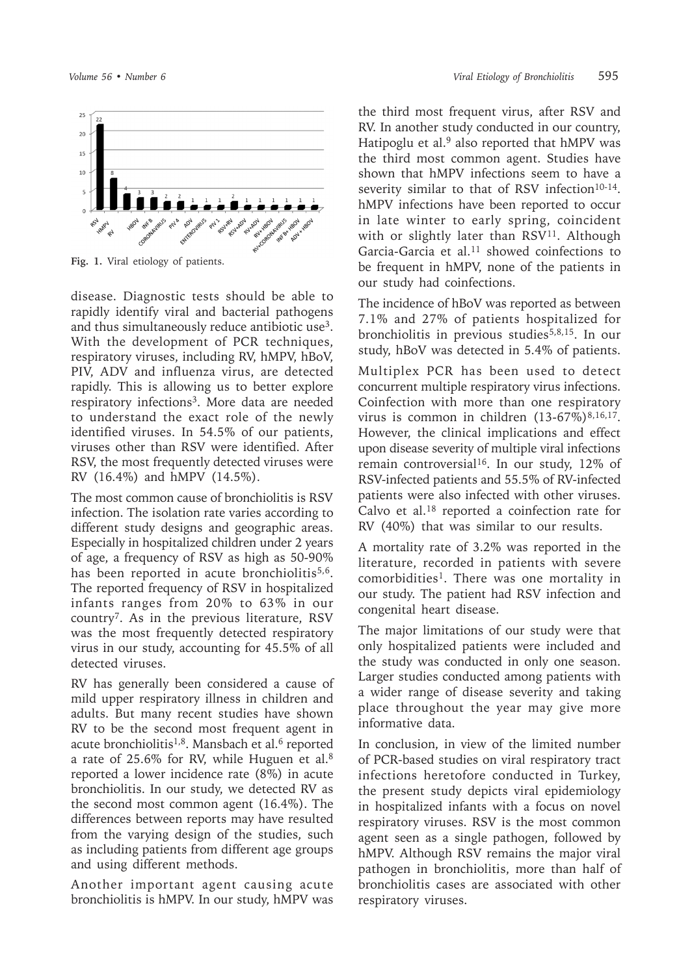

**Fig. 1.** Viral etiology of patients.

disease. Diagnostic tests should be able to rapidly identify viral and bacterial pathogens and thus simultaneously reduce antibiotic use<sup>3</sup>. With the development of PCR techniques, respiratory viruses, including RV, hMPV, hBoV, PIV, ADV and influenza virus, are detected rapidly. This is allowing us to better explore respiratory infections3. More data are needed to understand the exact role of the newly identified viruses. In 54.5% of our patients, viruses other than RSV were identified. After RSV, the most frequently detected viruses were RV (16.4%) and hMPV (14.5%).

The most common cause of bronchiolitis is RSV infection. The isolation rate varies according to different study designs and geographic areas. Especially in hospitalized children under 2 years of age, a frequency of RSV as high as 50-90% has been reported in acute bronchiolitis<sup>5,6</sup>. The reported frequency of RSV in hospitalized infants ranges from 20% to 63% in our country<sup>7</sup>. As in the previous literature, RSV was the most frequently detected respiratory virus in our study, accounting for 45.5% of all detected viruses.

RV has generally been considered a cause of mild upper respiratory illness in children and adults. But many recent studies have shown RV to be the second most frequent agent in acute bronchiolitis<sup>1,8</sup>. Mansbach et al.<sup>6</sup> reported a rate of 25.6% for RV, while Huguen et al.8 reported a lower incidence rate (8%) in acute bronchiolitis. In our study, we detected RV as the second most common agent (16.4%). The differences between reports may have resulted from the varying design of the studies, such as including patients from different age groups and using different methods.

Another important agent causing acute bronchiolitis is hMPV. In our study, hMPV was

the third most frequent virus, after RSV and RV. In another study conducted in our country, Hatipoglu et al.<sup>9</sup> also reported that hMPV was the third most common agent. Studies have shown that hMPV infections seem to have a severity similar to that of RSV infection<sup>10-14</sup>. hMPV infections have been reported to occur in late winter to early spring, coincident with or slightly later than RSV<sup>11</sup>. Although Garcia-Garcia et al.<sup>11</sup> showed coinfections to be frequent in hMPV, none of the patients in our study had coinfections.

The incidence of hBoV was reported as between 7.1% and 27% of patients hospitalized for bronchiolitis in previous studies5,8,15. In our study, hBoV was detected in 5.4% of patients.

Multiplex PCR has been used to detect concurrent multiple respiratory virus infections. Coinfection with more than one respiratory virus is common in children  $(13-67%)^{8,16,17}$ . However, the clinical implications and effect upon disease severity of multiple viral infections remain controversial<sup>16</sup>. In our study,  $12\%$  of RSV-infected patients and 55.5% of RV-infected patients were also infected with other viruses. Calvo et al.18 reported a coinfection rate for RV (40%) that was similar to our results.

A mortality rate of 3.2% was reported in the literature, recorded in patients with severe comorbidities1. There was one mortality in our study. The patient had RSV infection and congenital heart disease.

The major limitations of our study were that only hospitalized patients were included and the study was conducted in only one season. Larger studies conducted among patients with a wider range of disease severity and taking place throughout the year may give more informative data.

In conclusion, in view of the limited number of PCR-based studies on viral respiratory tract infections heretofore conducted in Turkey, the present study depicts viral epidemiology in hospitalized infants with a focus on novel respiratory viruses. RSV is the most common agent seen as a single pathogen, followed by hMPV. Although RSV remains the major viral pathogen in bronchiolitis, more than half of bronchiolitis cases are associated with other respiratory viruses.